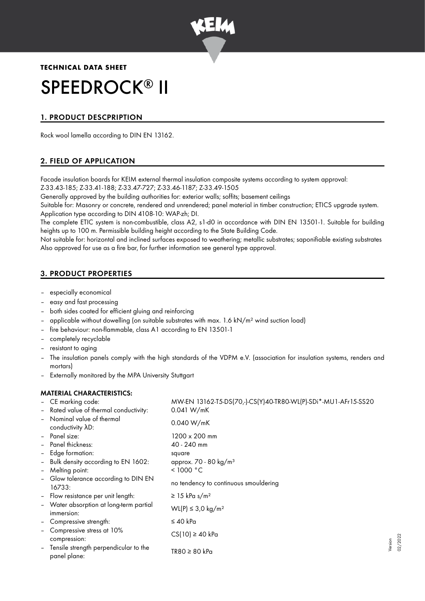

# **TECHNICAL DATA SHEET** SPEEDROCK® II

# 1. PRODUCT DESCPRIPTION

Rock wool lamella according to DIN EN 13162.

# 2. FIELD OF APPLICATION

Facade insulation boards for KEIM external thermal insulation composite systems according to system approval: Z-33.43-185; Z-33.41-188; Z-33.47-727; Z-33.46-1187; Z-33.49-1505

Generally approved by the building authorities for: exterior walls; soffits; basement ceilings

Suitable for: Masonry or concrete, rendered and unrendered; panel material in timber construction; ETICS upgrade system. Application type according to DIN 4108-10: WAP-zh; DI.

The complete ETIC system is non-combustible, class A2, s1-d0 in accordance with DIN EN 13501-1. Suitable for building heights up to 100 m. Permissible building height according to the State Building Code.

Not suitable for: horizontal and inclined surfaces exposed to weathering; metallic substrates; saponifiable existing substrates Also approved for use as a fire bar, for further information see general type approval.

# 3. PRODUCT PROPERTIES

- especially economical
- easy and fast processing
- both sides coated for efficient gluing and reinforcing
- applicable without dowelling (on suitable substrates with max. 1.6 kN/m² wind suction load)
- fire behaviour: non-flammable, class A1 according to EN 13501-1
- completely recyclable
- resistant to aging
- The insulation panels comply with the high standards of the VDPM e.V. (association for insulation systems, renders and mortars)
- Externally monitored by the MPA University Stuttgart

## MATERIAL CHARACTERISTICS:

|                          | - CE marking code:                                    | MW-EN 13162-T5-DS(70,-)-CS(Y)40-TR80-WL(P)-SDi*-MU1-AFr15-SS20 |
|--------------------------|-------------------------------------------------------|----------------------------------------------------------------|
|                          | - Rated value of thermal conductivity:                | 0.041 W/mK                                                     |
|                          | Nominal value of thermal<br>conductivity AD:          | 0.040 W/mK                                                     |
|                          | - Panel size:                                         | $1200 \times 200$ mm                                           |
|                          | - Panel thickness:                                    | 40 - 240 mm                                                    |
|                          | - Edge formation:                                     | square                                                         |
|                          | - Bulk density according to EN 1602:                  | approx. $70 - 80$ kg/m <sup>3</sup>                            |
| -                        | Melting point:                                        | < 1000 °C                                                      |
|                          | - Glow tolerance according to DIN EN<br>16733:        | no tendency to continuous smouldering                          |
|                          | - Flow resistance per unit length:                    | $\geq$ 15 kPa s/m <sup>2</sup>                                 |
|                          | - Water absorption at long-term partial<br>immersion: | WL(P) ≤ 3,0 kg/m <sup>2</sup>                                  |
|                          | - Compressive strength:                               | ≤ 40 kPa                                                       |
|                          | Compressive stress at 10%<br>compression:             | $CS(10) \ge 40$ kPa                                            |
| $\overline{\phantom{a}}$ | Tensile strength perpendicular to the<br>panel plane: | TR80 ≥ 80 kPa                                                  |

Version 02/2022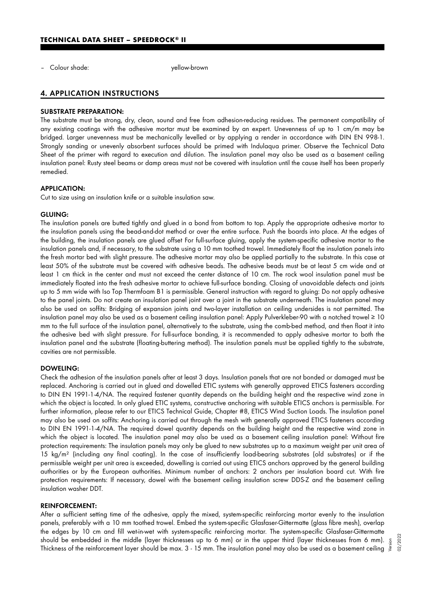– Colour shade: yellow-brown

## 4. APPLICATION INSTRUCTIONS

#### SUBSTRATE PREPARATION:

The substrate must be strong, dry, clean, sound and free from adhesion-reducing residues. The permanent compatibility of any existing coatings with the adhesive mortar must be examined by an expert. Unevenness of up to 1 cm/m may be bridged. Larger unevenness must be mechanically levelled or by applying a render in accordance with DIN EN 998-1. Strongly sanding or unevenly absorbent surfaces should be primed with Indulaqua primer. Observe the Technical Data Sheet of the primer with regard to execution and dilution. The insulation panel may also be used as a basement ceiling insulation panel: Rusty steel beams or damp areas must not be covered with insulation until the cause itself has been properly remedied.

#### APPLICATION:

Cut to size using an insulation knife or a suitable insulation saw.

#### GLUING:

The insulation panels are butted tightly and glued in a bond from bottom to top. Apply the appropriate adhesive mortar to the insulation panels using the bead-and-dot method or over the entire surface. Push the boards into place. At the edges of the building, the insulation panels are glued offset For full-surface gluing, apply the system-specific adhesive mortar to the insulation panels and, if necessary, to the substrate using a 10 mm toothed trowel. Immediately float the insulation panels into the fresh mortar bed with slight pressure. The adhesive mortar may also be applied partially to the substrate. In this case at least 50% of the substrate must be covered with adhesive beads. The adhesive beads must be at least 5 cm wide and at least 1 cm thick in the center and must not exceed the center distance of 10 cm. The rock wool insulation panel must be immediately floated into the fresh adhesive mortar to achieve full-surface bonding. Closing of unavoidable defects and joints up to 5 mm wide with Iso Top Thermfoam B1 is permissible. General instruction with regard to gluing: Do not apply adhesive to the panel joints. Do not create an insulation panel joint over a joint in the substrate underneath. The insulation panel may also be used on soffits: Bridging of expansion joints and two-layer installation on ceiling undersides is not permitted. The insulation panel may also be used as a basement ceiling insulation panel: Apply Pulverkleber-90 with a notched trowel ≥ 10 mm to the full surface of the insulation panel, alternatively to the substrate, using the comb-bed method, and then float it into the adhesive bed with slight pressure. For full-surface bonding, it is recommended to apply adhesive mortar to both the insulation panel and the substrate (floating-buttering method). The insulation panels must be applied tightly to the substrate, cavities are not permissible.

#### DOWELING:

Check the adhesion of the insulation panels after at least 3 days. Insulation panels that are not bonded or damaged must be replaced. Anchoring is carried out in glued and dowelled ETIC systems with generally approved ETICS fasteners according to DIN EN 1991-1-4/NA. The required fastener quantity depends on the building height and the respective wind zone in which the object is located. In only glued ETIC systems, constructive anchoring with suitable ETICS anchors is permissible. For further information, please refer to our ETICS Technical Guide, Chapter #8, ETICS Wind Suction Loads. The insulation panel may also be used on soffits: Anchoring is carried out through the mesh with generally approved ETICS fasteners according to DIN EN 1991-1-4/NA. The required dowel quantity depends on the building height and the respective wind zone in which the object is located. The insulation panel may also be used as a basement ceiling insulation panel: Without fire protection requirements: The insulation panels may only be glued to new substrates up to a maximum weight per unit area of 15 kg/m<sup>2</sup> (including any final coating). In the case of insufficiently load-bearing substrates (old substrates) or if the permissible weight per unit area is exceeded, dowelling is carried out using ETICS anchors approved by the general building authorities or by the European authorities. Minimum number of anchors: 2 anchors per insulation board cut. With fire protection requirements: If necessary, dowel with the basement ceiling insulation screw DDS-Z and the basement ceiling insulation washer DDT.

#### REINFORCEMENT:

After a sufficient setting time of the adhesive, apply the mixed, system-specific reinforcing mortar evenly to the insulation panels, preferably with a 10 mm toothed trowel. Embed the system-specific Glasfaser-Gittermatte (glass fibre mesh), overlap the edges by 10 cm and fill wet-in-wet with system-specific reinforcing mortar. The system-specific Glasfaser-Gittermatte should be embedded in the middle (layer thicknesses up to 6 mm) or in the upper third (layer thicknesses from 6 mm). should be embedded in the middle (layer thicknesses up to 6 mm) or in the upper third (layer thicknesses from 6 mm). 5<br>Thickness of the reinforcement layer should be max. 3 - 15 mm. The insulation panel may also be used as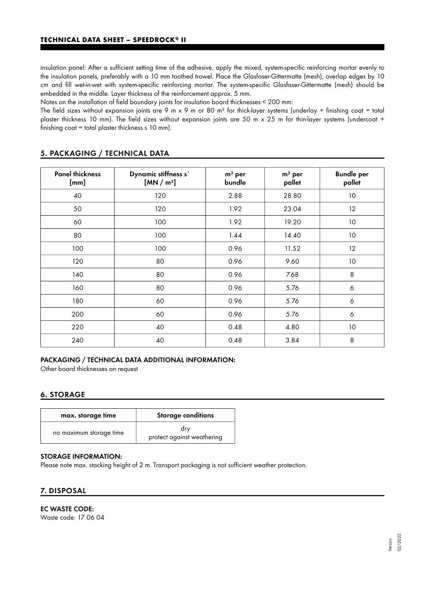insulation panel: After a sufficient setting time of the adhesive, apply the mixed, system-specific reinforcing mortar evenly to the insulation panels, preferably with a 10 mm toothed trowel. Place the Glasfaser-Gittermatte (mesh), overlap edges by 10 cm and fill wet-in-wet with system-specific reinforcing mortar. The system-specific Glasfaser-Gittermatte (mesh) should be embedded in the middle. Layer thickness of the reinforcement approx. 5 mm.

Notes on the installation of field boundary joints for insulation board thicknesses < 200 mm:

The field sizes without expansion joints are 9 m x 9 m or 80 m<sup>2</sup> for thick-layer systems (underlay + finishing coat = total plaster thickness 10 mm). The field sizes without expansion joints are 50 m x 25 m for thin-layer systems (undercoat + finishing coat = total plaster thickness s 10 mm).

| <b>Panel thickness</b><br>[mm] | Dynamic stiffness s'<br>[MN/m <sup>3</sup> ] | $m2$ per<br>bundle | $m2$ per<br>pallet | <b>Bundle per</b><br>pallet |
|--------------------------------|----------------------------------------------|--------------------|--------------------|-----------------------------|
| 40                             | 120                                          | 2.88               | 28.80              | 10                          |
| 50                             | 120                                          | 1.92               | 23.04              | $12 \,$                     |
| 60                             | 100                                          | 1.92               | 19.20              | 10                          |
| 80                             | 100                                          | 1.44               | 14.40              | 10                          |
| 100                            | 100                                          | 0.96               | 11.52              | 12                          |
| 120                            | 80                                           | 0.96               | 9.60               | 10                          |
| 140                            | 80                                           | 0.96               | 7.68               | 8                           |
| 160                            | 80                                           | 0.96               | 5.76               | 6                           |
| 180                            | 60                                           | 0.96               | 5.76               | 6                           |
| 200                            | 60                                           | 0.96               | 5.76               | 6                           |
| 220                            | 40                                           | 0.48               | 4.80               | $10$                        |
| 240                            | 40                                           | 0.48               | 3.84               | 8                           |

## 5. PACKAGING / TECHNICAL DATA

## PACKAGING / TECHNICAL DATA ADDITIONAL INFORMATION:

Other board thicknesses on request

## 6. STORAGE

| max. storage time       | <b>Storage conditions</b>         |  |  |
|-------------------------|-----------------------------------|--|--|
| no maximum storage time | drv<br>protect against weathering |  |  |

## STORAGE INFORMATION:

Please note max. stacking height of 2 m. Transport packaging is not sufficient weather protection.

## 7. DISPOSAL

EC WASTE CODE:

Waste code: 17 06 04